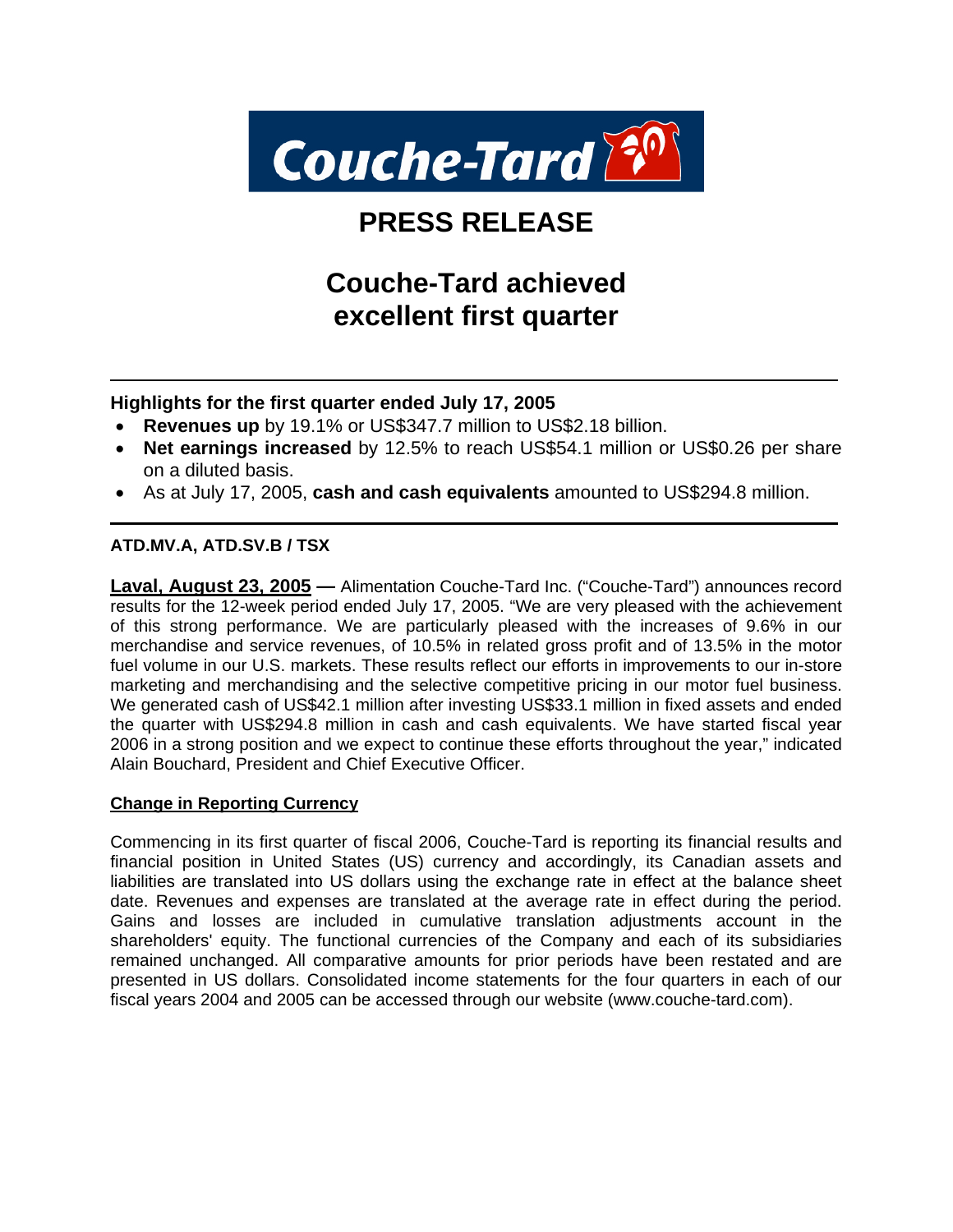

# **PRESS RELEASE**

# **Couche-Tard achieved excellent first quarter**

**Highlights for the first quarter ended July 17, 2005** 

- **Revenues up** by 19.1% or US\$347.7 million to US\$2.18 billion.
- **Net earnings increased** by 12.5% to reach US\$54.1 million or US\$0.26 per share on a diluted basis.
- As at July 17, 2005, **cash and cash equivalents** amounted to US\$294.8 million.

## **ATD.MV.A, ATD.SV.B / TSX**

**Laval, August 23, 2005 —** Alimentation Couche-Tard Inc. ("Couche-Tard") announces record results for the 12-week period ended July 17, 2005. "We are very pleased with the achievement of this strong performance. We are particularly pleased with the increases of 9.6% in our merchandise and service revenues, of 10.5% in related gross profit and of 13.5% in the motor fuel volume in our U.S. markets. These results reflect our efforts in improvements to our in-store marketing and merchandising and the selective competitive pricing in our motor fuel business. We generated cash of US\$42.1 million after investing US\$33.1 million in fixed assets and ended the quarter with US\$294.8 million in cash and cash equivalents. We have started fiscal year 2006 in a strong position and we expect to continue these efforts throughout the year," indicated Alain Bouchard, President and Chief Executive Officer.

### **Change in Reporting Currency**

Commencing in its first quarter of fiscal 2006, Couche-Tard is reporting its financial results and financial position in United States (US) currency and accordingly, its Canadian assets and liabilities are translated into US dollars using the exchange rate in effect at the balance sheet date. Revenues and expenses are translated at the average rate in effect during the period. Gains and losses are included in cumulative translation adjustments account in the shareholders' equity. The functional currencies of the Company and each of its subsidiaries remained unchanged. All comparative amounts for prior periods have been restated and are presented in US dollars. Consolidated income statements for the four quarters in each of our fiscal years 2004 and 2005 can be accessed through our website (www.couche-tard.com).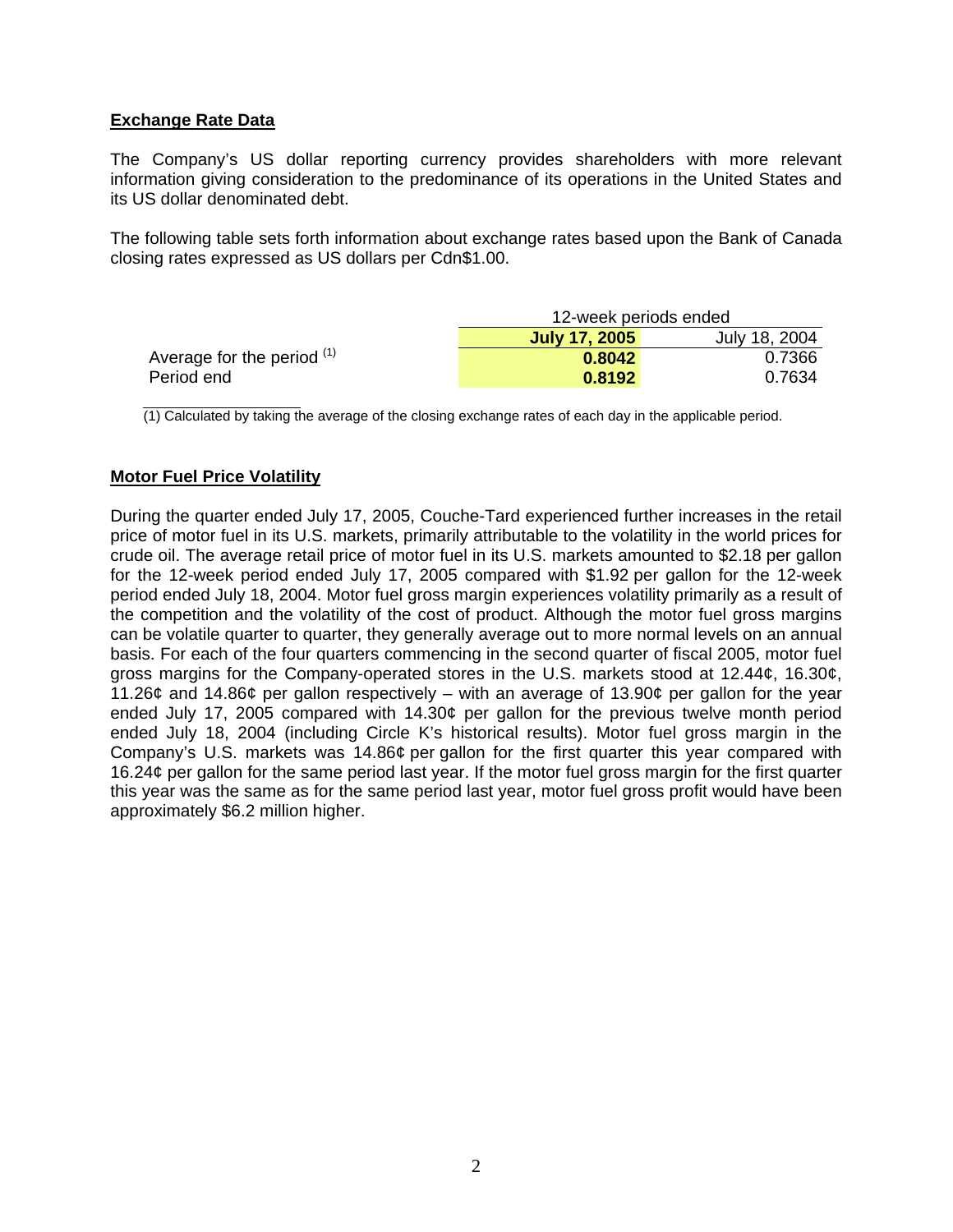## **Exchange Rate Data**

The Company's US dollar reporting currency provides shareholders with more relevant information giving consideration to the predominance of its operations in the United States and its US dollar denominated debt.

The following table sets forth information about exchange rates based upon the Bank of Canada closing rates expressed as US dollars per Cdn\$1.00.

|                              | 12-week periods ended          |        |  |  |
|------------------------------|--------------------------------|--------|--|--|
|                              | July 18, 2004<br>July 17, 2005 |        |  |  |
| Average for the period $(1)$ | 0.8042                         | 0.7366 |  |  |
| Period end                   | 0.8192                         | 0.7634 |  |  |

(1) Calculated by taking the average of the closing exchange rates of each day in the applicable period.

#### **Motor Fuel Price Volatility**

During the quarter ended July 17, 2005, Couche-Tard experienced further increases in the retail price of motor fuel in its U.S. markets, primarily attributable to the volatility in the world prices for crude oil. The average retail price of motor fuel in its U.S. markets amounted to \$2.18 per gallon for the 12-week period ended July 17, 2005 compared with \$1.92 per gallon for the 12-week period ended July 18, 2004. Motor fuel gross margin experiences volatility primarily as a result of the competition and the volatility of the cost of product. Although the motor fuel gross margins can be volatile quarter to quarter, they generally average out to more normal levels on an annual basis. For each of the four quarters commencing in the second quarter of fiscal 2005, motor fuel gross margins for the Company-operated stores in the U.S. markets stood at 12.44¢, 16.30¢, 11.26¢ and 14.86¢ per gallon respectively – with an average of 13.90¢ per gallon for the year ended July 17, 2005 compared with 14.30¢ per gallon for the previous twelve month period ended July 18, 2004 (including Circle K's historical results). Motor fuel gross margin in the Company's U.S. markets was 14.86¢ per gallon for the first quarter this year compared with 16.24¢ per gallon for the same period last year. If the motor fuel gross margin for the first quarter this year was the same as for the same period last year, motor fuel gross profit would have been approximately \$6.2 million higher.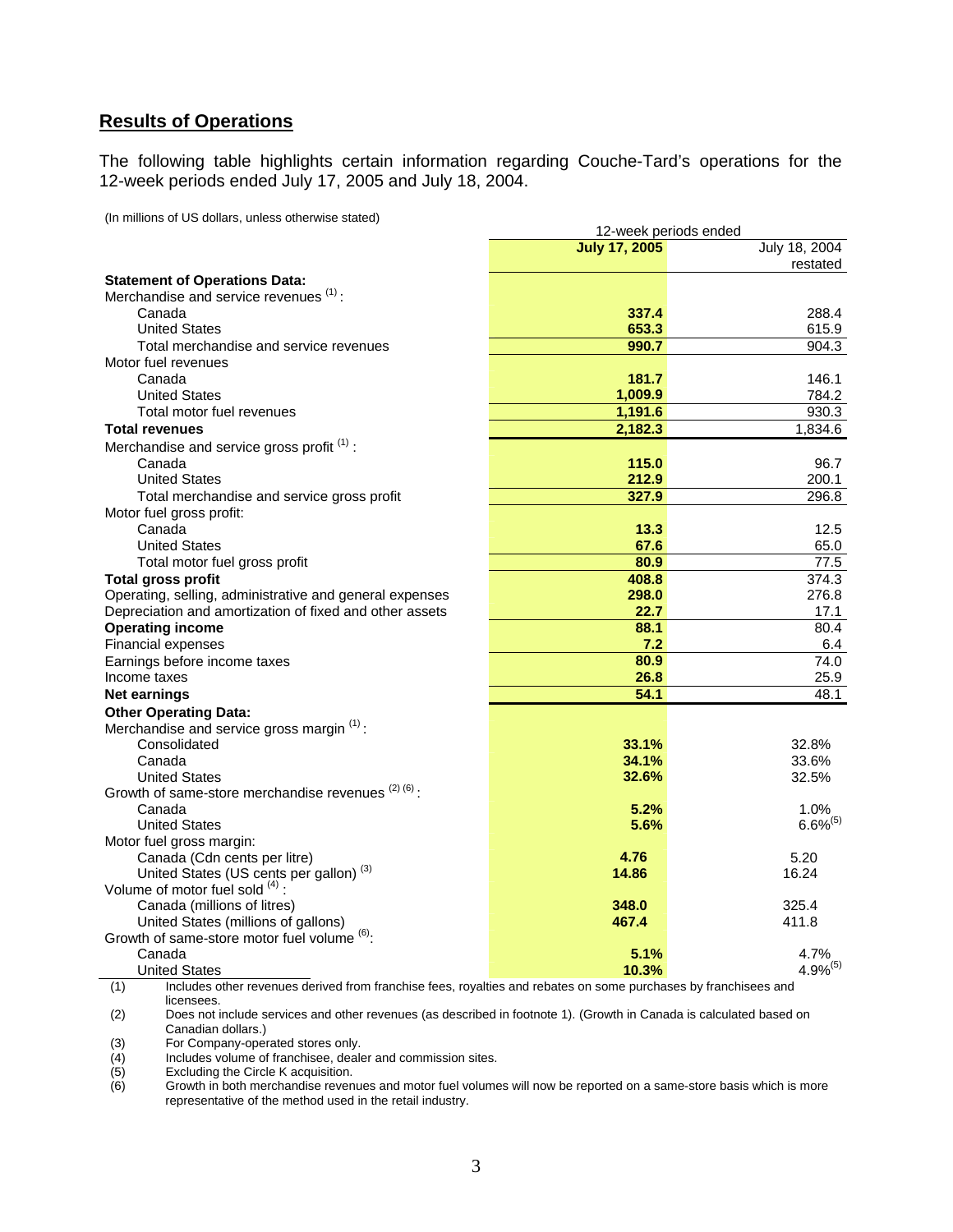## **Results of Operations**

The following table highlights certain information regarding Couche-Tard's operations for the 12-week periods ended July 17, 2005 and July 18, 2004.

(In millions of US dollars, unless otherwise stated)

| (III IIIIIIIUIIS UL US GUIIGIS, GHIESS ULIEI WISE SIGLEG)<br>12-week periods ended                                     |                      |                   |  |
|------------------------------------------------------------------------------------------------------------------------|----------------------|-------------------|--|
|                                                                                                                        | <b>July 17, 2005</b> | July 18, 2004     |  |
|                                                                                                                        |                      | restated          |  |
| <b>Statement of Operations Data:</b><br>Merchandise and service revenues (1):                                          |                      |                   |  |
| Canada                                                                                                                 | 337.4                | 288.4             |  |
| <b>United States</b>                                                                                                   | 653.3                | 615.9             |  |
| Total merchandise and service revenues                                                                                 | 990.7                | 904.3             |  |
|                                                                                                                        |                      |                   |  |
| Motor fuel revenues                                                                                                    | 181.7                | 146.1             |  |
| Canada<br><b>United States</b>                                                                                         | 1,009.9              | 784.2             |  |
| Total motor fuel revenues                                                                                              | 1,191.6              | 930.3             |  |
|                                                                                                                        |                      |                   |  |
| <b>Total revenues</b>                                                                                                  | 2,182.3              | 1.834.6           |  |
| Merchandise and service gross profit <sup>(1)</sup> :                                                                  |                      |                   |  |
| Canada                                                                                                                 | 115.0                | 96.7              |  |
| <b>United States</b>                                                                                                   | 212.9                | 200.1             |  |
| Total merchandise and service gross profit                                                                             | 327.9                | 296.8             |  |
| Motor fuel gross profit:                                                                                               |                      |                   |  |
| Canada                                                                                                                 | 13.3                 | 12.5              |  |
| <b>United States</b>                                                                                                   | 67.6                 | 65.0              |  |
| Total motor fuel gross profit                                                                                          | 80.9                 | 77.5              |  |
| <b>Total gross profit</b>                                                                                              | 408.8                | 374.3             |  |
| Operating, selling, administrative and general expenses                                                                | 298.0                | 276.8             |  |
| Depreciation and amortization of fixed and other assets                                                                | 22.7                 | 17.1              |  |
| <b>Operating income</b>                                                                                                | 88.1                 | 80.4              |  |
| Financial expenses                                                                                                     | 7.2                  | 6.4               |  |
| Earnings before income taxes                                                                                           | 80.9                 | 74.0              |  |
| Income taxes                                                                                                           | 26.8                 | 25.9              |  |
| Net earnings                                                                                                           | 54.1                 | $\overline{48.1}$ |  |
| <b>Other Operating Data:</b>                                                                                           |                      |                   |  |
| Merchandise and service gross margin (1):                                                                              |                      |                   |  |
| Consolidated                                                                                                           | 33.1%                | 32.8%             |  |
| Canada                                                                                                                 | 34.1%                | 33.6%             |  |
| <b>United States</b>                                                                                                   | 32.6%                | 32.5%             |  |
| Growth of same-store merchandise revenues $(2)$ (6):                                                                   |                      |                   |  |
| Canada                                                                                                                 | 5.2%                 | 1.0%              |  |
| <b>United States</b>                                                                                                   | 5.6%                 | $6.6\%^{(5)}$     |  |
| Motor fuel gross margin:                                                                                               |                      |                   |  |
| Canada (Cdn cents per litre)                                                                                           | 4.76                 | 5.20              |  |
| United States (US cents per gallon) <sup>(3)</sup>                                                                     | 14.86                | 16.24             |  |
| Volume of motor fuel sold (4):                                                                                         |                      |                   |  |
| Canada (millions of litres)                                                                                            | 348.0                | 325.4             |  |
| United States (millions of gallons)                                                                                    | 467.4                | 411.8             |  |
| Growth of same-store motor fuel volume (6):                                                                            |                      |                   |  |
| Canada                                                                                                                 | 5.1%                 | 4.7%              |  |
| <b>United States</b>                                                                                                   | 10.3%                | $4.9\%^{(5)}$     |  |
| (1)<br>Includes other revenues derived from franchise fees, royalties and rebates on some purchases by franchisees and |                      |                   |  |
| licensees.                                                                                                             |                      |                   |  |

(2) Does not include services and other revenues (as described in footnote 1). (Growth in Canada is calculated based on Canadian dollars.)

(3) For Company-operated stores only.

(4) Includes volume of franchisee, dealer and commission sites.

(5) Excluding the Circle K acquisition.<br>(6) Growth in both merchandise reven (6) Growth in both merchandise revenues and motor fuel volumes will now be reported on a same-store basis which is more representative of the method used in the retail industry.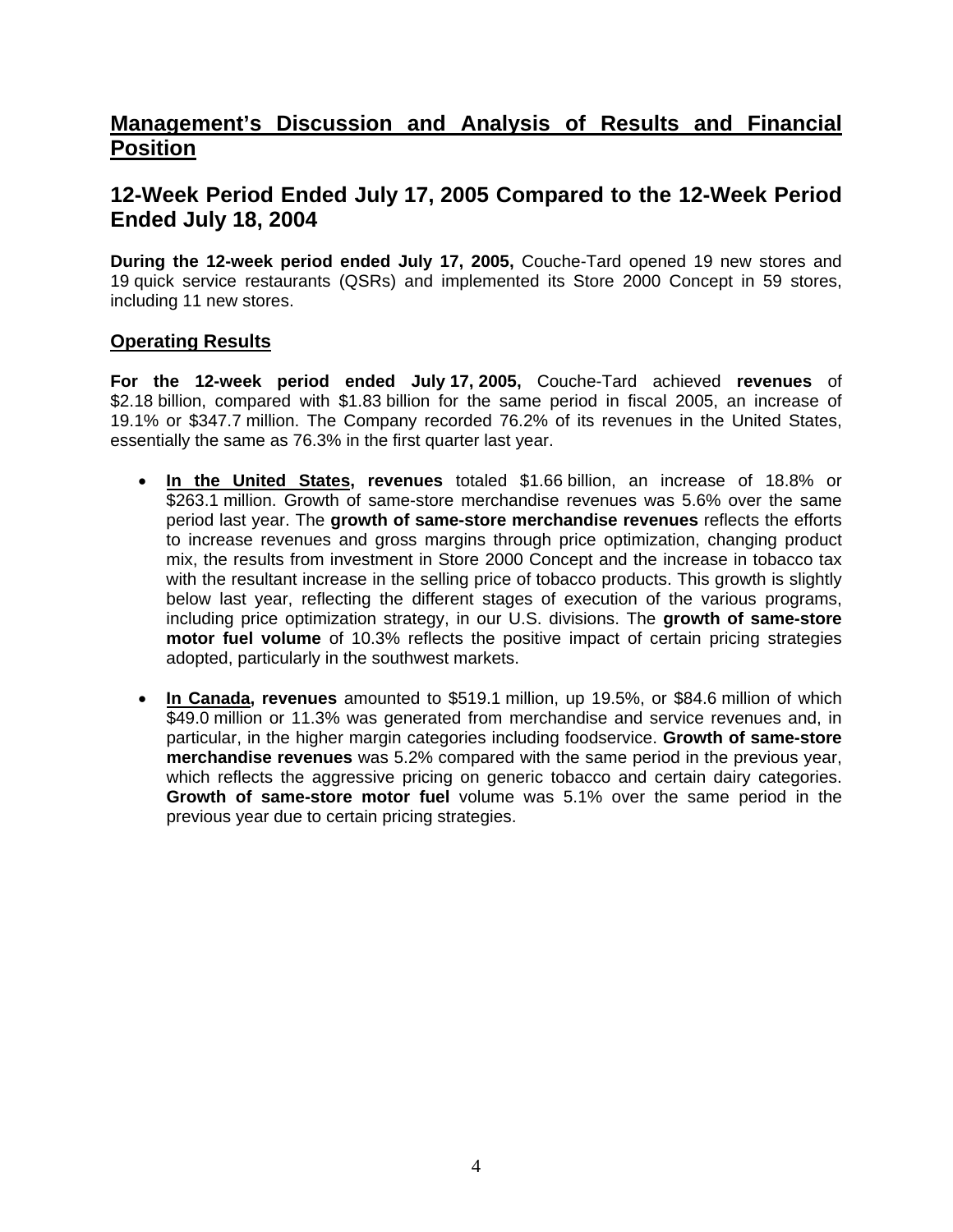## **Management's Discussion and Analysis of Results and Financial Position**

## **12-Week Period Ended July 17, 2005 Compared to the 12-Week Period Ended July 18, 2004**

**During the 12-week period ended July 17, 2005,** Couche-Tard opened 19 new stores and 19 quick service restaurants (QSRs) and implemented its Store 2000 Concept in 59 stores, including 11 new stores.

## **Operating Results**

**For the 12-week period ended July 17, 2005,** Couche-Tard achieved **revenues** of \$2.18 billion, compared with \$1.83 billion for the same period in fiscal 2005, an increase of 19.1% or \$347.7 million. The Company recorded 76.2% of its revenues in the United States, essentially the same as 76.3% in the first quarter last year.

- **In the United States, revenues** totaled \$1.66 billion, an increase of 18.8% or \$263.1 million. Growth of same-store merchandise revenues was 5.6% over the same period last year. The **growth of same-store merchandise revenues** reflects the efforts to increase revenues and gross margins through price optimization, changing product mix, the results from investment in Store 2000 Concept and the increase in tobacco tax with the resultant increase in the selling price of tobacco products. This growth is slightly below last year, reflecting the different stages of execution of the various programs, including price optimization strategy, in our U.S. divisions. The **growth of same-store motor fuel volume** of 10.3% reflects the positive impact of certain pricing strategies adopted, particularly in the southwest markets.
- **In Canada, revenues** amounted to \$519.1 million, up 19.5%, or \$84.6 million of which \$49.0 million or 11.3% was generated from merchandise and service revenues and, in particular, in the higher margin categories including foodservice. **Growth of same-store merchandise revenues** was 5.2% compared with the same period in the previous year, which reflects the aggressive pricing on generic tobacco and certain dairy categories. **Growth of same-store motor fuel** volume was 5.1% over the same period in the previous year due to certain pricing strategies.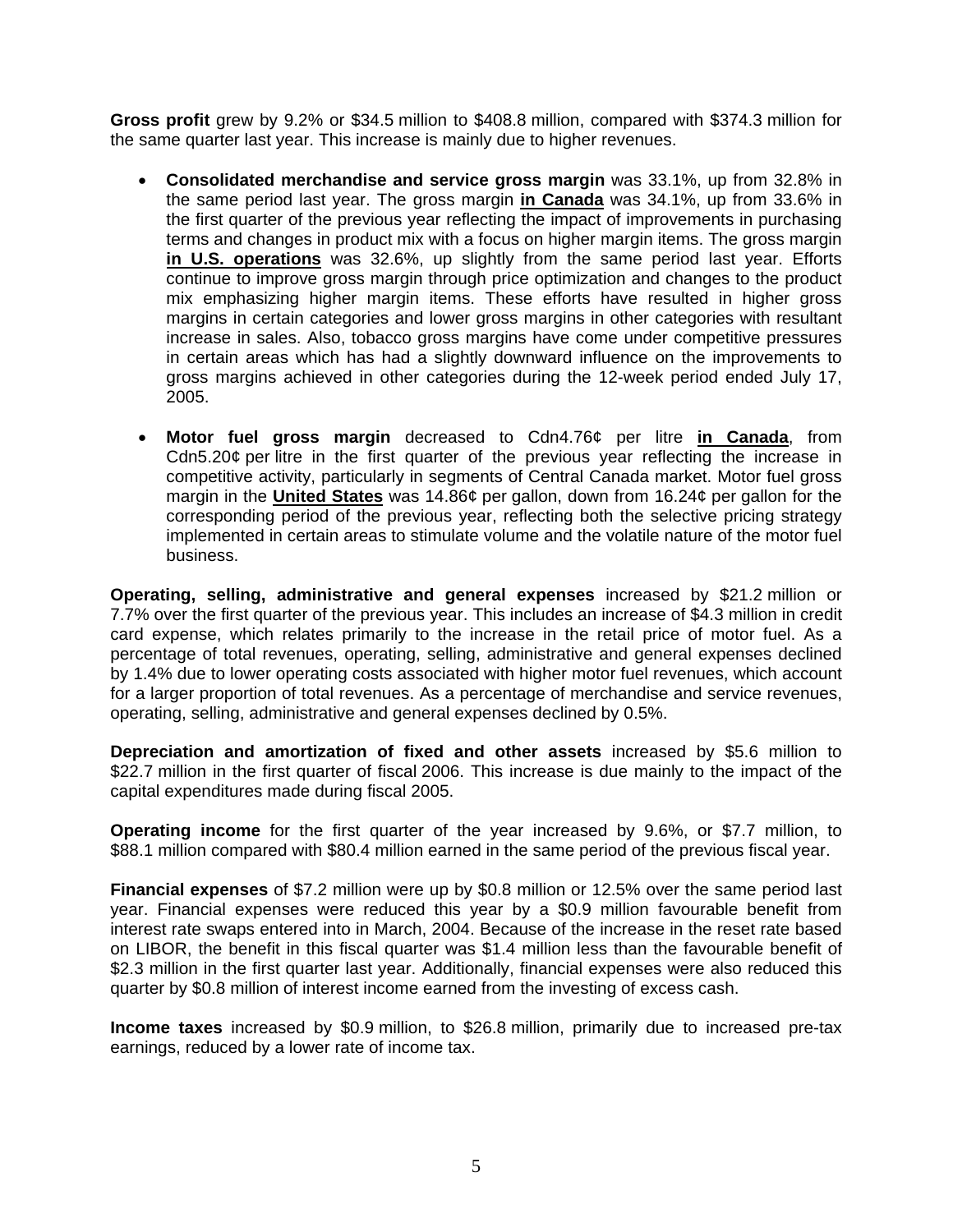**Gross profit** grew by 9.2% or \$34.5 million to \$408.8 million, compared with \$374.3 million for the same quarter last year. This increase is mainly due to higher revenues.

- **Consolidated merchandise and service gross margin** was 33.1%, up from 32.8% in the same period last year. The gross margin **in Canada** was 34.1%, up from 33.6% in the first quarter of the previous year reflecting the impact of improvements in purchasing terms and changes in product mix with a focus on higher margin items. The gross margin **in U.S. operations** was 32.6%, up slightly from the same period last year. Efforts continue to improve gross margin through price optimization and changes to the product mix emphasizing higher margin items. These efforts have resulted in higher gross margins in certain categories and lower gross margins in other categories with resultant increase in sales. Also, tobacco gross margins have come under competitive pressures in certain areas which has had a slightly downward influence on the improvements to gross margins achieved in other categories during the 12-week period ended July 17, 2005.
- **Motor fuel gross margin** decreased to Cdn4.76¢ per litre **in Canada**, from Cdn5.20 $\varphi$  per litre in the first quarter of the previous year reflecting the increase in competitive activity, particularly in segments of Central Canada market. Motor fuel gross margin in the **United States** was 14.86¢ per gallon, down from 16.24¢ per gallon for the corresponding period of the previous year, reflecting both the selective pricing strategy implemented in certain areas to stimulate volume and the volatile nature of the motor fuel business.

**Operating, selling, administrative and general expenses** increased by \$21.2 million or 7.7% over the first quarter of the previous year. This includes an increase of \$4.3 million in credit card expense, which relates primarily to the increase in the retail price of motor fuel. As a percentage of total revenues, operating, selling, administrative and general expenses declined by 1.4% due to lower operating costs associated with higher motor fuel revenues, which account for a larger proportion of total revenues. As a percentage of merchandise and service revenues, operating, selling, administrative and general expenses declined by 0.5%.

**Depreciation and amortization of fixed and other assets** increased by \$5.6 million to \$22.7 million in the first quarter of fiscal 2006. This increase is due mainly to the impact of the capital expenditures made during fiscal 2005.

**Operating income** for the first quarter of the year increased by 9.6%, or \$7.7 million, to \$88.1 million compared with \$80.4 million earned in the same period of the previous fiscal year.

**Financial expenses** of \$7.2 million were up by \$0.8 million or 12.5% over the same period last year. Financial expenses were reduced this year by a \$0.9 million favourable benefit from interest rate swaps entered into in March, 2004. Because of the increase in the reset rate based on LIBOR, the benefit in this fiscal quarter was \$1.4 million less than the favourable benefit of \$2.3 million in the first quarter last year. Additionally, financial expenses were also reduced this quarter by \$0.8 million of interest income earned from the investing of excess cash.

**Income taxes** increased by \$0.9 million, to \$26.8 million, primarily due to increased pre-tax earnings, reduced by a lower rate of income tax.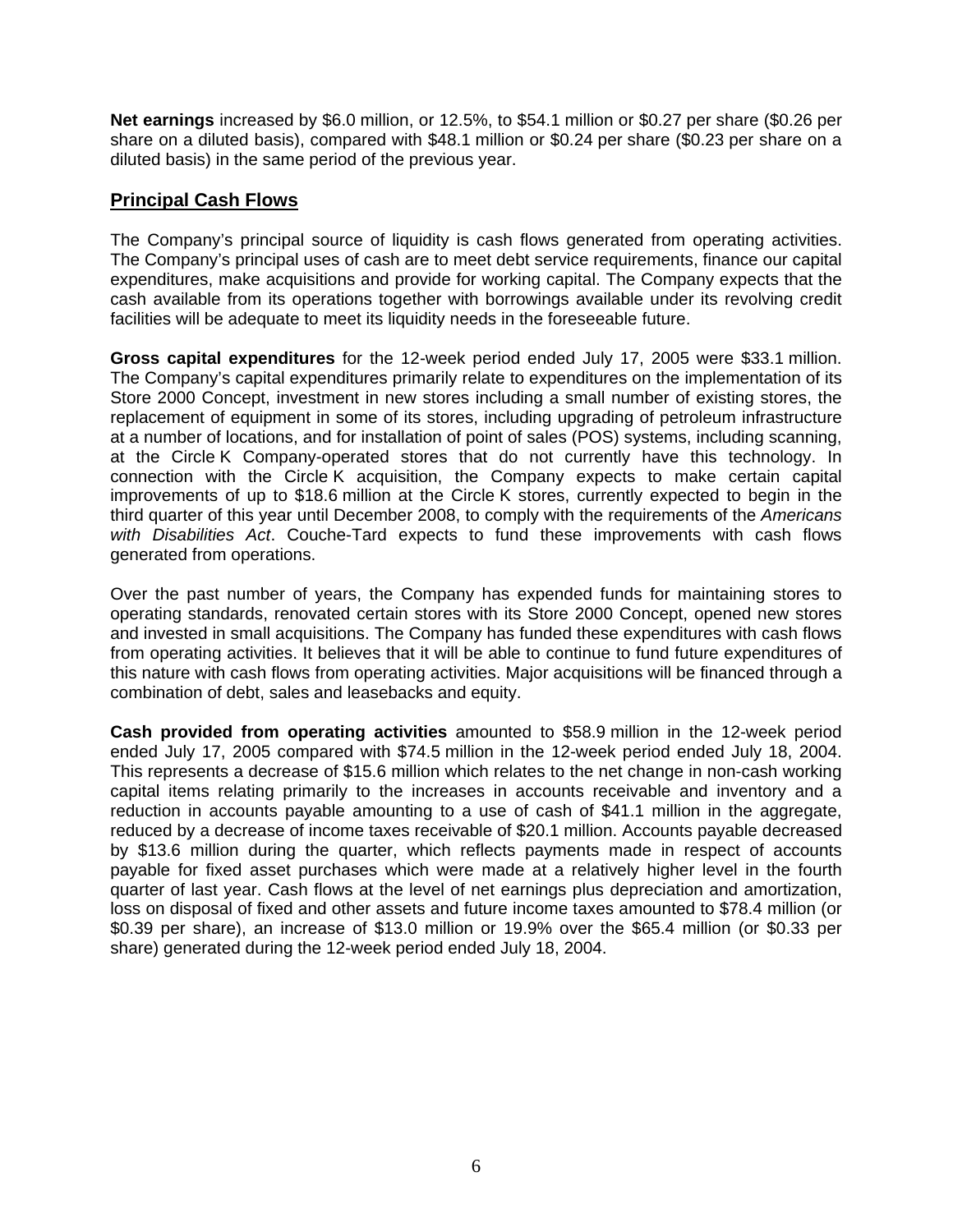**Net earnings** increased by \$6.0 million, or 12.5%, to \$54.1 million or \$0.27 per share (\$0.26 per share on a diluted basis), compared with \$48.1 million or \$0.24 per share (\$0.23 per share on a diluted basis) in the same period of the previous year.

## **Principal Cash Flows**

The Company's principal source of liquidity is cash flows generated from operating activities. The Company's principal uses of cash are to meet debt service requirements, finance our capital expenditures, make acquisitions and provide for working capital. The Company expects that the cash available from its operations together with borrowings available under its revolving credit facilities will be adequate to meet its liquidity needs in the foreseeable future.

**Gross capital expenditures** for the 12-week period ended July 17, 2005 were \$33.1 million. The Company's capital expenditures primarily relate to expenditures on the implementation of its Store 2000 Concept, investment in new stores including a small number of existing stores, the replacement of equipment in some of its stores, including upgrading of petroleum infrastructure at a number of locations, and for installation of point of sales (POS) systems, including scanning, at the Circle K Company-operated stores that do not currently have this technology. In connection with the Circle K acquisition, the Company expects to make certain capital improvements of up to \$18.6 million at the Circle K stores, currently expected to begin in the third quarter of this year until December 2008, to comply with the requirements of the *Americans with Disabilities Act*. Couche-Tard expects to fund these improvements with cash flows generated from operations.

Over the past number of years, the Company has expended funds for maintaining stores to operating standards, renovated certain stores with its Store 2000 Concept, opened new stores and invested in small acquisitions. The Company has funded these expenditures with cash flows from operating activities. It believes that it will be able to continue to fund future expenditures of this nature with cash flows from operating activities. Major acquisitions will be financed through a combination of debt, sales and leasebacks and equity.

**Cash provided from operating activities** amounted to \$58.9 million in the 12-week period ended July 17, 2005 compared with \$74.5 million in the 12-week period ended July 18, 2004. This represents a decrease of \$15.6 million which relates to the net change in non-cash working capital items relating primarily to the increases in accounts receivable and inventory and a reduction in accounts payable amounting to a use of cash of \$41.1 million in the aggregate, reduced by a decrease of income taxes receivable of \$20.1 million. Accounts payable decreased by \$13.6 million during the quarter, which reflects payments made in respect of accounts payable for fixed asset purchases which were made at a relatively higher level in the fourth quarter of last year. Cash flows at the level of net earnings plus depreciation and amortization, loss on disposal of fixed and other assets and future income taxes amounted to \$78.4 million (or \$0.39 per share), an increase of \$13.0 million or 19.9% over the \$65.4 million (or \$0.33 per share) generated during the 12-week period ended July 18, 2004.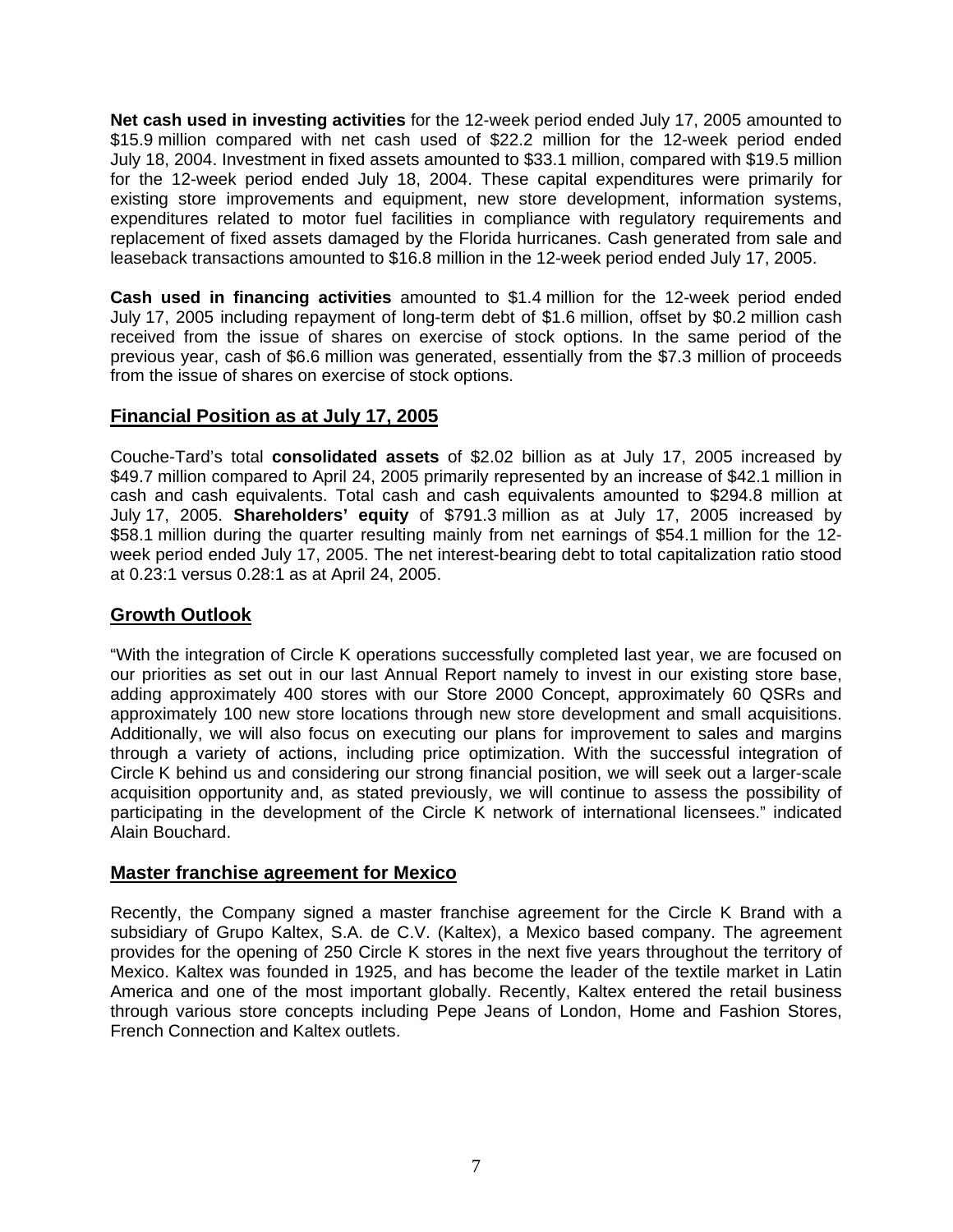**Net cash used in investing activities** for the 12-week period ended July 17, 2005 amounted to \$15.9 million compared with net cash used of \$22.2 million for the 12-week period ended July 18, 2004. Investment in fixed assets amounted to \$33.1 million, compared with \$19.5 million for the 12-week period ended July 18, 2004. These capital expenditures were primarily for existing store improvements and equipment, new store development, information systems, expenditures related to motor fuel facilities in compliance with regulatory requirements and replacement of fixed assets damaged by the Florida hurricanes. Cash generated from sale and leaseback transactions amounted to \$16.8 million in the 12-week period ended July 17, 2005.

**Cash used in financing activities** amounted to \$1.4 million for the 12-week period ended July 17, 2005 including repayment of long-term debt of \$1.6 million, offset by \$0.2 million cash received from the issue of shares on exercise of stock options. In the same period of the previous year, cash of \$6.6 million was generated, essentially from the \$7.3 million of proceeds from the issue of shares on exercise of stock options.

## **Financial Position as at July 17, 2005**

Couche-Tard's total **consolidated assets** of \$2.02 billion as at July 17, 2005 increased by \$49.7 million compared to April 24, 2005 primarily represented by an increase of \$42.1 million in cash and cash equivalents. Total cash and cash equivalents amounted to \$294.8 million at July 17, 2005. **Shareholders' equity** of \$791.3 million as at July 17, 2005 increased by \$58.1 million during the quarter resulting mainly from net earnings of \$54.1 million for the 12 week period ended July 17, 2005. The net interest-bearing debt to total capitalization ratio stood at 0.23:1 versus 0.28:1 as at April 24, 2005.

## **Growth Outlook**

"With the integration of Circle K operations successfully completed last year, we are focused on our priorities as set out in our last Annual Report namely to invest in our existing store base, adding approximately 400 stores with our Store 2000 Concept, approximately 60 QSRs and approximately 100 new store locations through new store development and small acquisitions. Additionally, we will also focus on executing our plans for improvement to sales and margins through a variety of actions, including price optimization. With the successful integration of Circle K behind us and considering our strong financial position, we will seek out a larger-scale acquisition opportunity and, as stated previously, we will continue to assess the possibility of participating in the development of the Circle K network of international licensees." indicated Alain Bouchard.

### **Master franchise agreement for Mexico**

Recently, the Company signed a master franchise agreement for the Circle K Brand with a subsidiary of Grupo Kaltex, S.A. de C.V. (Kaltex), a Mexico based company. The agreement provides for the opening of 250 Circle K stores in the next five years throughout the territory of Mexico. Kaltex was founded in 1925, and has become the leader of the textile market in Latin America and one of the most important globally. Recently, Kaltex entered the retail business through various store concepts including Pepe Jeans of London, Home and Fashion Stores, French Connection and Kaltex outlets.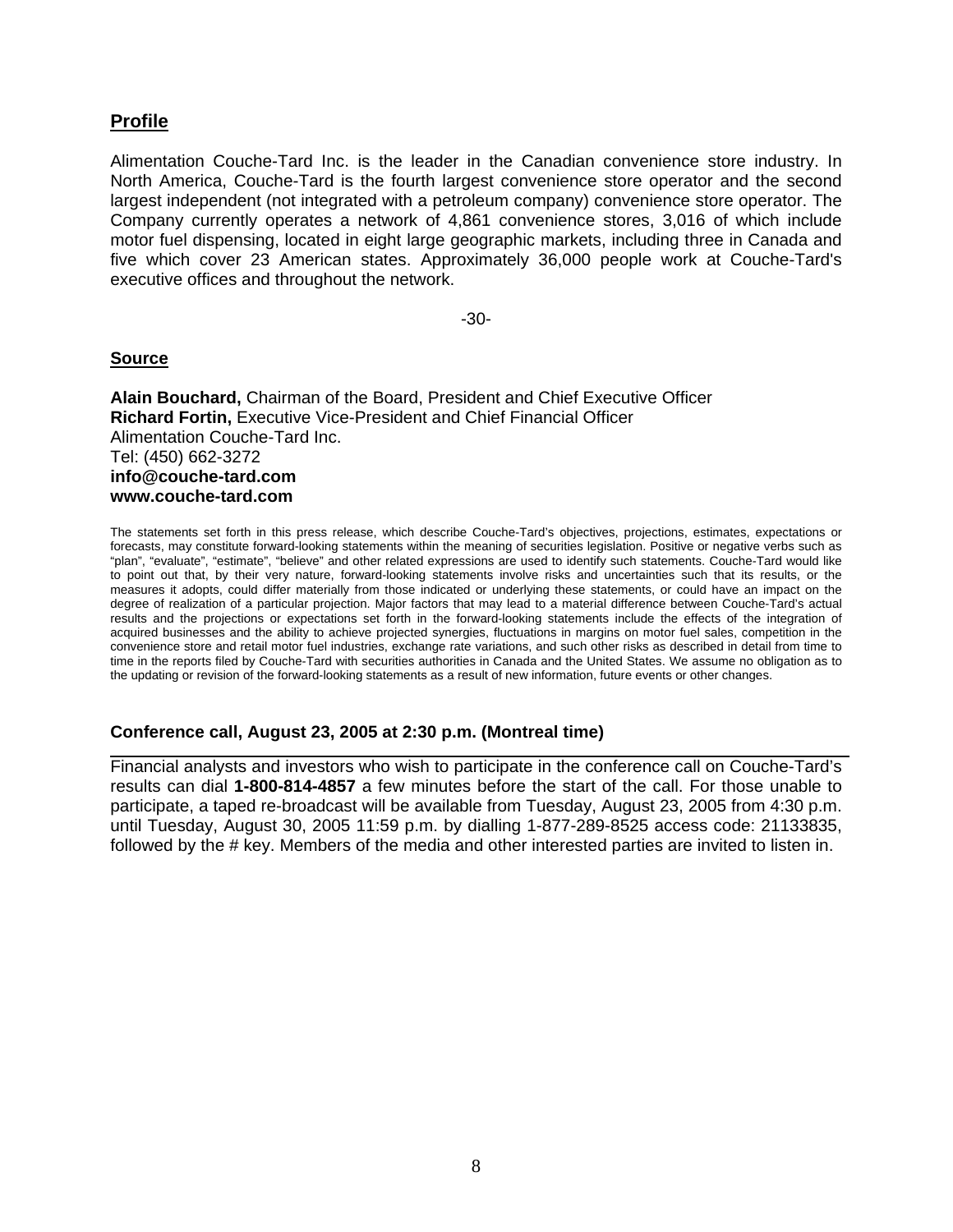## **Profile**

Alimentation Couche-Tard Inc. is the leader in the Canadian convenience store industry. In North America, Couche-Tard is the fourth largest convenience store operator and the second largest independent (not integrated with a petroleum company) convenience store operator. The Company currently operates a network of 4,861 convenience stores, 3,016 of which include motor fuel dispensing, located in eight large geographic markets, including three in Canada and five which cover 23 American states. Approximately 36,000 people work at Couche-Tard's executive offices and throughout the network.

-30-

#### **Source**

**Alain Bouchard,** Chairman of the Board, President and Chief Executive Officer **Richard Fortin,** Executive Vice-President and Chief Financial Officer Alimentation Couche-Tard Inc. Tel: (450) 662-3272 **info@couche-tard.com www.couche-tard.com** 

The statements set forth in this press release, which describe Couche-Tard's objectives, projections, estimates, expectations or forecasts, may constitute forward-looking statements within the meaning of securities legislation. Positive or negative verbs such as "plan", "evaluate", "estimate", "believe" and other related expressions are used to identify such statements. Couche-Tard would like to point out that, by their very nature, forward-looking statements involve risks and uncertainties such that its results, or the measures it adopts, could differ materially from those indicated or underlying these statements, or could have an impact on the degree of realization of a particular projection. Major factors that may lead to a material difference between Couche-Tard's actual results and the projections or expectations set forth in the forward-looking statements include the effects of the integration of acquired businesses and the ability to achieve projected synergies, fluctuations in margins on motor fuel sales, competition in the convenience store and retail motor fuel industries, exchange rate variations, and such other risks as described in detail from time to time in the reports filed by Couche-Tard with securities authorities in Canada and the United States. We assume no obligation as to the updating or revision of the forward-looking statements as a result of new information, future events or other changes.

#### **Conference call, August 23, 2005 at 2:30 p.m. (Montreal time)**

Financial analysts and investors who wish to participate in the conference call on Couche-Tard's results can dial **1-800-814-4857** a few minutes before the start of the call. For those unable to participate, a taped re-broadcast will be available from Tuesday, August 23, 2005 from 4:30 p.m. until Tuesday, August 30, 2005 11:59 p.m. by dialling 1-877-289-8525 access code: 21133835, followed by the # key. Members of the media and other interested parties are invited to listen in.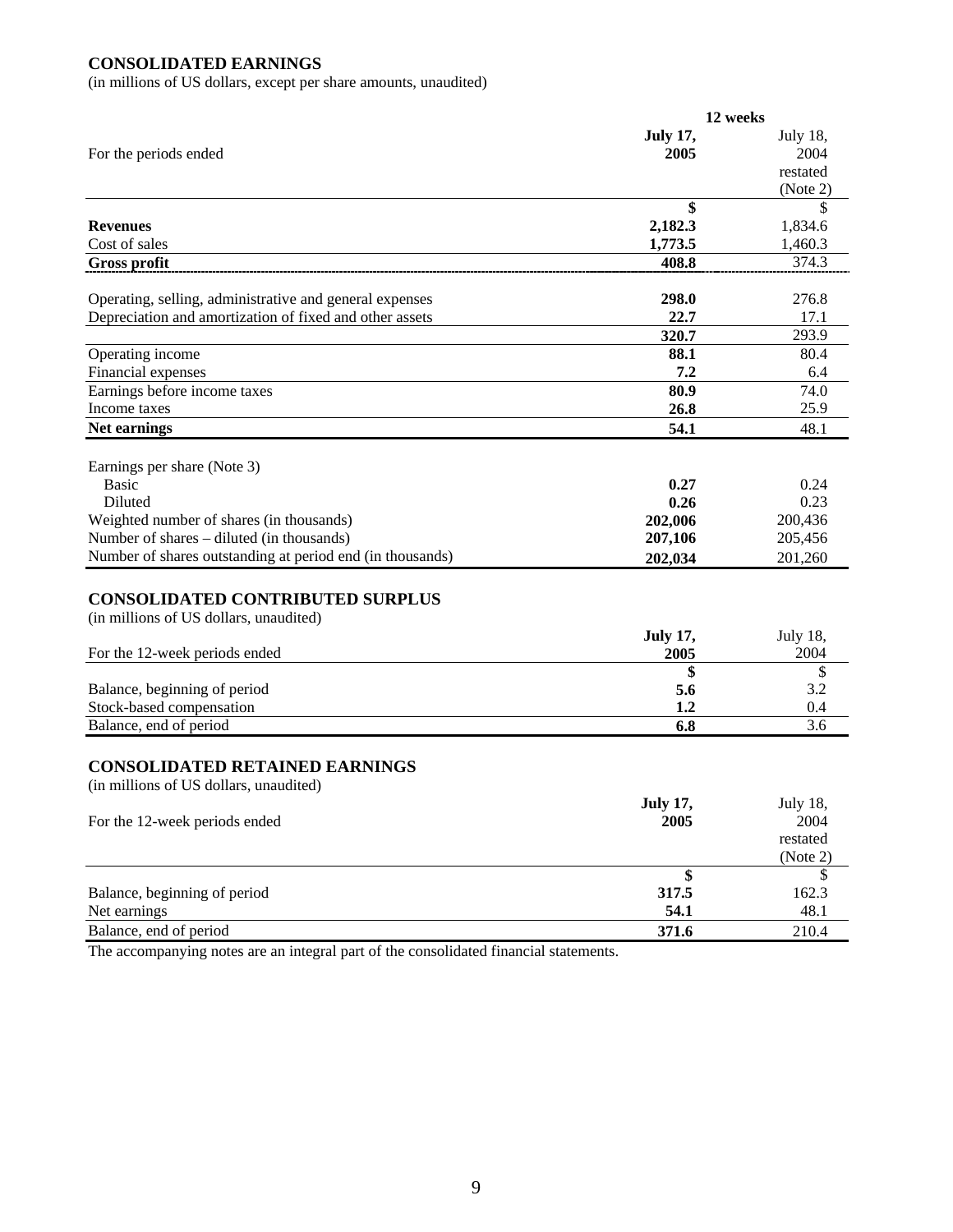## **CONSOLIDATED EARNINGS**

(in millions of US dollars, except per share amounts, unaudited)

|                                                           | 12 weeks        |          |
|-----------------------------------------------------------|-----------------|----------|
|                                                           | <b>July 17,</b> | July 18, |
| For the periods ended                                     | 2005            | 2004     |
|                                                           |                 | restated |
|                                                           |                 | (Note 2) |
|                                                           | \$              | \$       |
| <b>Revenues</b>                                           | 2,182.3         | 1,834.6  |
| Cost of sales                                             | 1,773.5         | 1,460.3  |
| <b>Gross profit</b>                                       | 408.8           | 374.3    |
|                                                           |                 |          |
| Operating, selling, administrative and general expenses   | 298.0           | 276.8    |
| Depreciation and amortization of fixed and other assets   | 22.7            | 17.1     |
|                                                           | 320.7           | 293.9    |
| Operating income                                          | 88.1            | 80.4     |
| Financial expenses                                        | 7.2             | 6.4      |
| Earnings before income taxes                              | 80.9            | 74.0     |
| Income taxes                                              | 26.8            | 25.9     |
| <b>Net earnings</b>                                       | 54.1            | 48.1     |
|                                                           |                 |          |
| Earnings per share (Note 3)                               |                 |          |
| <b>Basic</b>                                              | 0.27            | 0.24     |
| Diluted                                                   | 0.26            | 0.23     |
| Weighted number of shares (in thousands)                  | 202,006         | 200,436  |
| Number of shares – diluted (in thousands)                 | 207,106         | 205,456  |
| Number of shares outstanding at period end (in thousands) | 202,034         | 201,260  |
|                                                           |                 |          |
| <b>CONSOLIDATED CONTRIBUTED SURPLUS</b>                   |                 |          |
| (in millions of US dollars, unaudited)                    |                 |          |
|                                                           | <b>July 17,</b> | July 18, |
| For the 12-week periods ended                             | 2005            | 2004     |
|                                                           | \$              | \$       |
| Balance, beginning of period                              | 5.6             | 3.2      |
| Stock-based compensation                                  | 1.2             | 0.4      |
| Balance, end of period                                    | 6.8             | 3.6      |

#### **CONSOLIDATED RETAINED EARNINGS**

| (in millions of US dollars, unaudited) |                 |             |
|----------------------------------------|-----------------|-------------|
|                                        | <b>July 17,</b> | July $18$ , |
| For the 12-week periods ended          | 2005            | 2004        |
|                                        |                 | restated    |
|                                        |                 | (Note 2)    |
|                                        |                 |             |
| Balance, beginning of period           | 317.5           | 162.3       |
| Net earnings                           | 54.1            | 48.1        |
| Balance, end of period                 | 371.6           | 210.4       |

The accompanying notes are an integral part of the consolidated financial statements.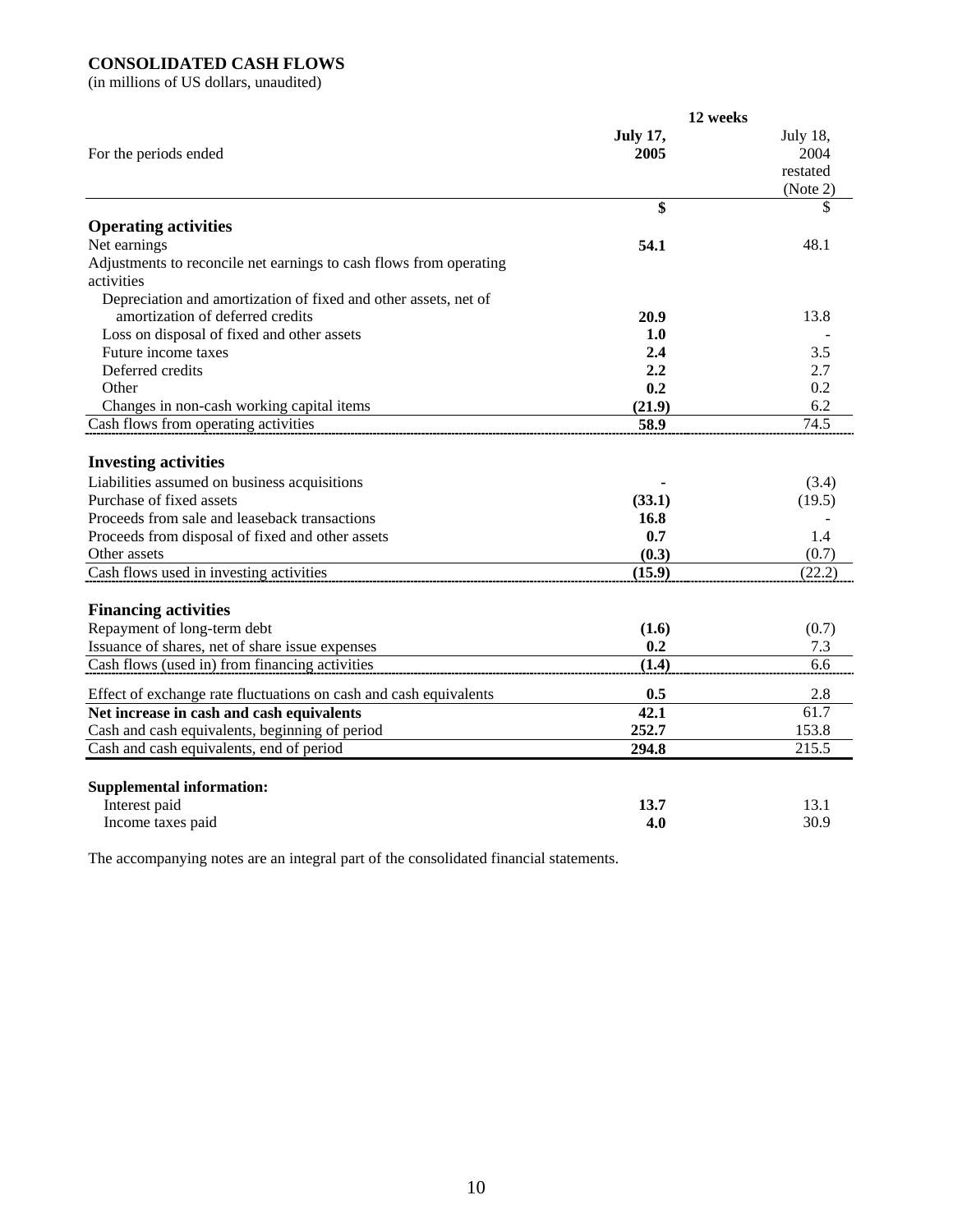## **CONSOLIDATED CASH FLOWS**

(in millions of US dollars, unaudited)

|                                                                    | 12 weeks        |          |
|--------------------------------------------------------------------|-----------------|----------|
|                                                                    | <b>July 17,</b> | July 18, |
| For the periods ended                                              | 2005            | 2004     |
|                                                                    |                 | restated |
|                                                                    |                 | (Note 2) |
|                                                                    | \$              | \$       |
| <b>Operating activities</b>                                        |                 |          |
| Net earnings                                                       | 54.1            | 48.1     |
| Adjustments to reconcile net earnings to cash flows from operating |                 |          |
| activities                                                         |                 |          |
| Depreciation and amortization of fixed and other assets, net of    |                 |          |
| amortization of deferred credits                                   | 20.9            | 13.8     |
| Loss on disposal of fixed and other assets                         | 1.0             |          |
| Future income taxes                                                | 2.4             | 3.5      |
| Deferred credits                                                   | 2.2             | 2.7      |
| Other                                                              | 0.2             | 0.2      |
| Changes in non-cash working capital items                          | (21.9)          | 6.2      |
| Cash flows from operating activities                               | 58.9            | 74.5     |
|                                                                    |                 |          |
| <b>Investing activities</b>                                        |                 |          |
| Liabilities assumed on business acquisitions                       |                 | (3.4)    |
| Purchase of fixed assets                                           | (33.1)          | (19.5)   |
| Proceeds from sale and leaseback transactions                      | 16.8            |          |
| Proceeds from disposal of fixed and other assets                   | 0.7             | 1.4      |
| Other assets                                                       | (0.3)           | (0.7)    |
| Cash flows used in investing activities                            | (15.9)          | (22.2)   |
|                                                                    |                 |          |
| <b>Financing activities</b>                                        |                 |          |
| Repayment of long-term debt                                        | (1.6)           | (0.7)    |
| Issuance of shares, net of share issue expenses                    | 0.2             | 7.3      |
| Cash flows (used in) from financing activities                     | (1.4)           | 6.6      |
| Effect of exchange rate fluctuations on cash and cash equivalents  | 0.5             | 2.8      |
| Net increase in cash and cash equivalents                          | 42.1            | 61.7     |
| Cash and cash equivalents, beginning of period                     | 252.7           | 153.8    |
| Cash and cash equivalents, end of period                           | 294.8           | 215.5    |
|                                                                    |                 |          |
| <b>Supplemental information:</b>                                   |                 |          |
| Interest paid                                                      | 13.7            | 13.1     |
| Income taxes paid                                                  | 4.0             | 30.9     |

The accompanying notes are an integral part of the consolidated financial statements.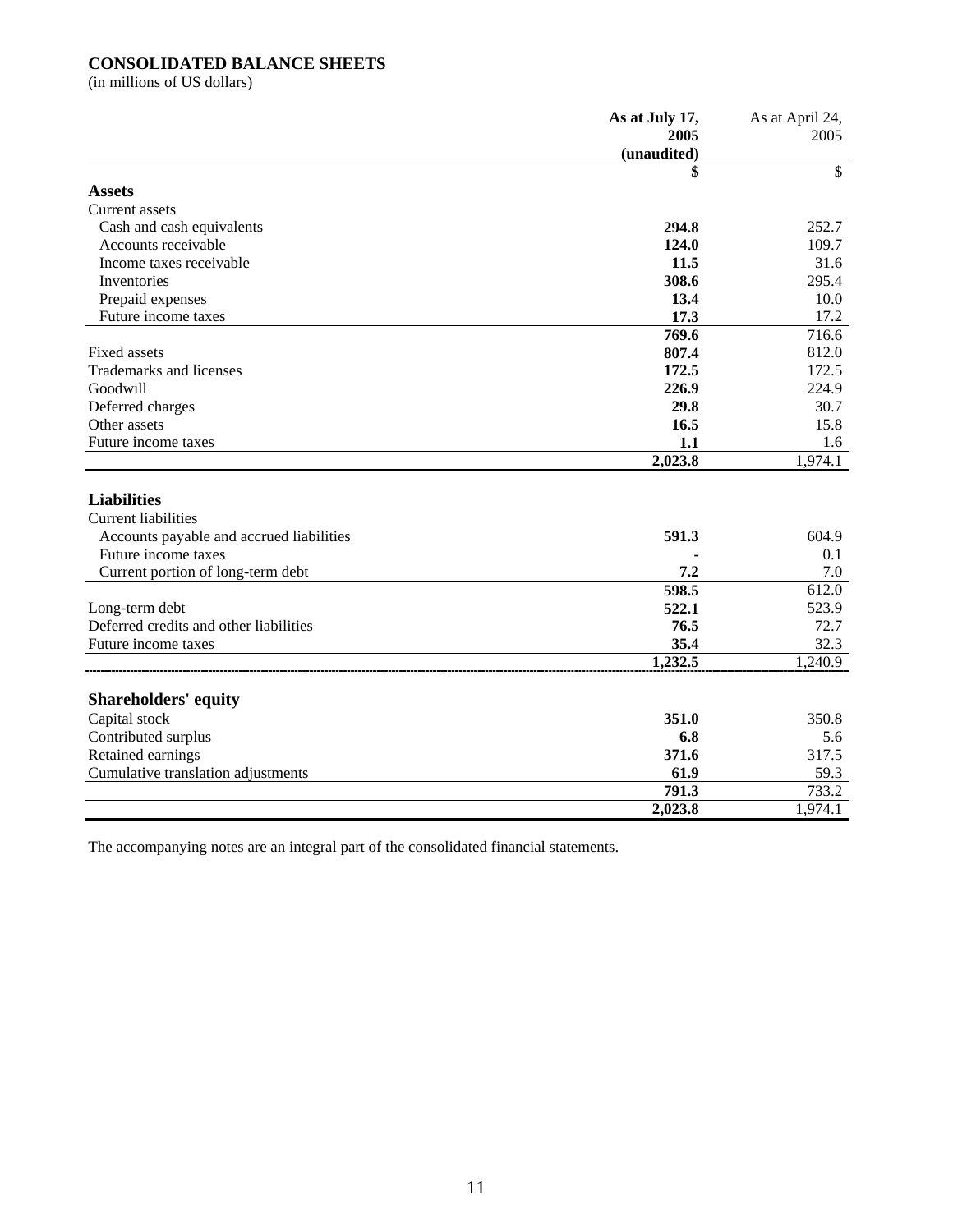#### **CONSOLIDATED BALANCE SHEETS**

(in millions of US dollars)

|                                          | As at July 17,<br>2005<br>(unaudited) | As at April 24,<br>2005 |
|------------------------------------------|---------------------------------------|-------------------------|
|                                          | \$                                    | \$                      |
| <b>Assets</b>                            |                                       |                         |
| <b>Current</b> assets                    |                                       |                         |
| Cash and cash equivalents                | 294.8                                 | 252.7                   |
| Accounts receivable                      | 124.0                                 | 109.7                   |
| Income taxes receivable                  | 11.5                                  | 31.6                    |
| Inventories                              | 308.6                                 | 295.4                   |
| Prepaid expenses                         | 13.4                                  | 10.0                    |
| Future income taxes                      | 17.3                                  | 17.2                    |
|                                          | 769.6                                 | 716.6                   |
| Fixed assets                             | 807.4                                 | 812.0                   |
| Trademarks and licenses                  | 172.5                                 | 172.5                   |
| Goodwill                                 | 226.9                                 | 224.9                   |
| Deferred charges                         | 29.8                                  | 30.7                    |
| Other assets                             | 16.5                                  | 15.8                    |
| Future income taxes                      | 1.1                                   | 1.6                     |
|                                          | 2,023.8                               | 1,974.1                 |
|                                          |                                       |                         |
| <b>Liabilities</b>                       |                                       |                         |
| <b>Current liabilities</b>               |                                       |                         |
| Accounts payable and accrued liabilities | 591.3                                 | 604.9                   |
| Future income taxes                      |                                       | 0.1                     |
| Current portion of long-term debt        | 7.2                                   | 7.0                     |
|                                          | 598.5                                 | 612.0                   |
| Long-term debt                           | 522.1                                 | 523.9                   |
| Deferred credits and other liabilities   | 76.5                                  | 72.7                    |
| Future income taxes                      | 35.4                                  | 32.3                    |
|                                          | 1,232.5                               | 1,240.9                 |
|                                          |                                       |                         |
| <b>Shareholders' equity</b>              |                                       |                         |
| Capital stock                            | 351.0                                 | 350.8                   |
| Contributed surplus                      | 6.8                                   | 5.6                     |
| Retained earnings                        | 371.6                                 | 317.5                   |
| Cumulative translation adjustments       | 61.9                                  | 59.3                    |
|                                          | 791.3                                 | 733.2                   |
|                                          | 2,023.8                               | 1,974.1                 |

The accompanying notes are an integral part of the consolidated financial statements.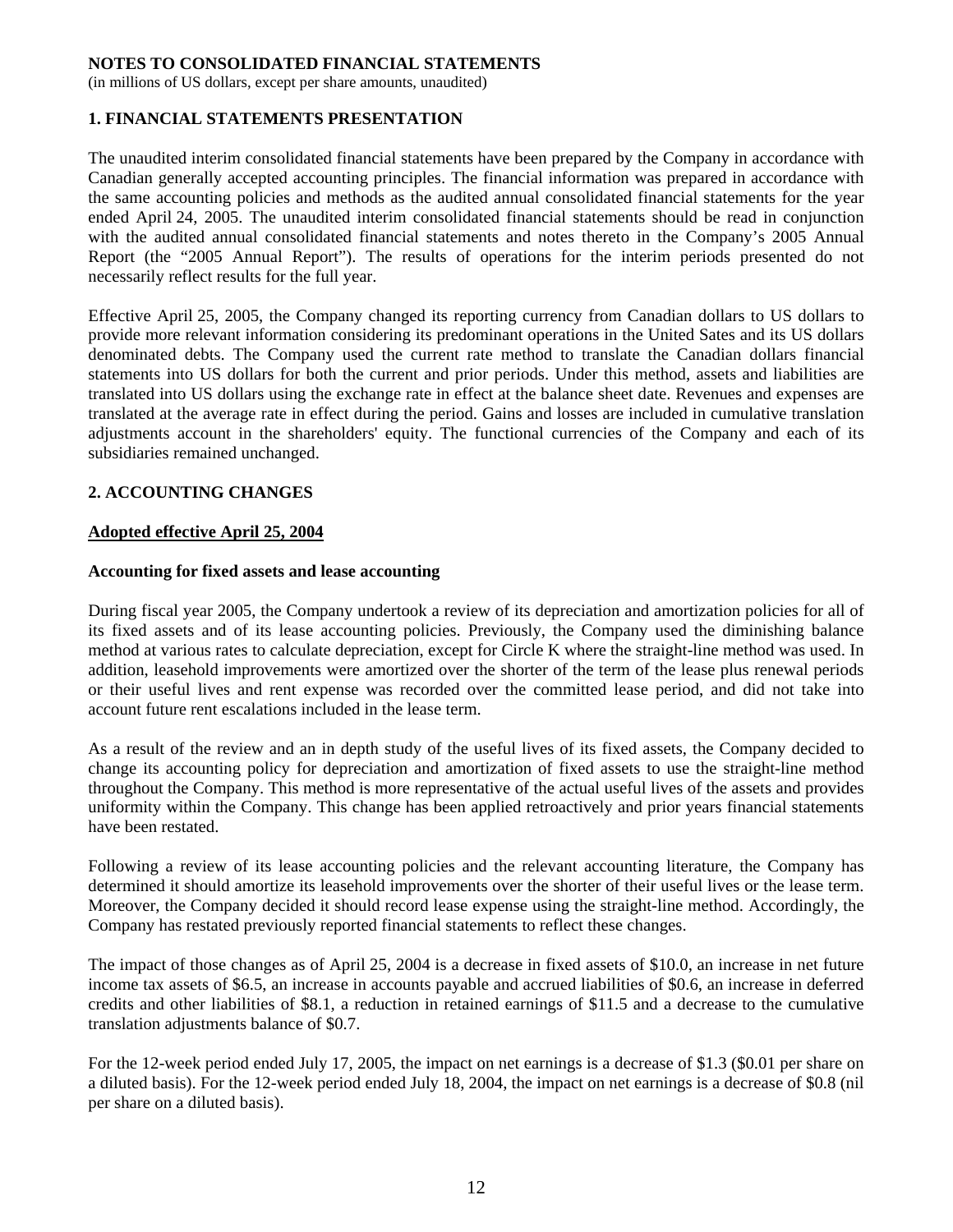#### **NOTES TO CONSOLIDATED FINANCIAL STATEMENTS**

(in millions of US dollars, except per share amounts, unaudited)

## **1. FINANCIAL STATEMENTS PRESENTATION**

The unaudited interim consolidated financial statements have been prepared by the Company in accordance with Canadian generally accepted accounting principles. The financial information was prepared in accordance with the same accounting policies and methods as the audited annual consolidated financial statements for the year ended April 24, 2005. The unaudited interim consolidated financial statements should be read in conjunction with the audited annual consolidated financial statements and notes thereto in the Company's 2005 Annual Report (the "2005 Annual Report"). The results of operations for the interim periods presented do not necessarily reflect results for the full year.

Effective April 25, 2005, the Company changed its reporting currency from Canadian dollars to US dollars to provide more relevant information considering its predominant operations in the United Sates and its US dollars denominated debts. The Company used the current rate method to translate the Canadian dollars financial statements into US dollars for both the current and prior periods. Under this method, assets and liabilities are translated into US dollars using the exchange rate in effect at the balance sheet date. Revenues and expenses are translated at the average rate in effect during the period. Gains and losses are included in cumulative translation adjustments account in the shareholders' equity. The functional currencies of the Company and each of its subsidiaries remained unchanged.

#### **2. ACCOUNTING CHANGES**

#### **Adopted effective April 25, 2004**

#### **Accounting for fixed assets and lease accounting**

During fiscal year 2005, the Company undertook a review of its depreciation and amortization policies for all of its fixed assets and of its lease accounting policies. Previously, the Company used the diminishing balance method at various rates to calculate depreciation, except for Circle K where the straight-line method was used. In addition, leasehold improvements were amortized over the shorter of the term of the lease plus renewal periods or their useful lives and rent expense was recorded over the committed lease period, and did not take into account future rent escalations included in the lease term.

As a result of the review and an in depth study of the useful lives of its fixed assets, the Company decided to change its accounting policy for depreciation and amortization of fixed assets to use the straight-line method throughout the Company. This method is more representative of the actual useful lives of the assets and provides uniformity within the Company. This change has been applied retroactively and prior years financial statements have been restated.

Following a review of its lease accounting policies and the relevant accounting literature, the Company has determined it should amortize its leasehold improvements over the shorter of their useful lives or the lease term. Moreover, the Company decided it should record lease expense using the straight-line method. Accordingly, the Company has restated previously reported financial statements to reflect these changes.

The impact of those changes as of April 25, 2004 is a decrease in fixed assets of \$10.0, an increase in net future income tax assets of \$6.5, an increase in accounts payable and accrued liabilities of \$0.6, an increase in deferred credits and other liabilities of \$8.1, a reduction in retained earnings of \$11.5 and a decrease to the cumulative translation adjustments balance of \$0.7.

For the 12-week period ended July 17, 2005, the impact on net earnings is a decrease of \$1.3 (\$0.01 per share on a diluted basis). For the 12-week period ended July 18, 2004, the impact on net earnings is a decrease of \$0.8 (nil per share on a diluted basis).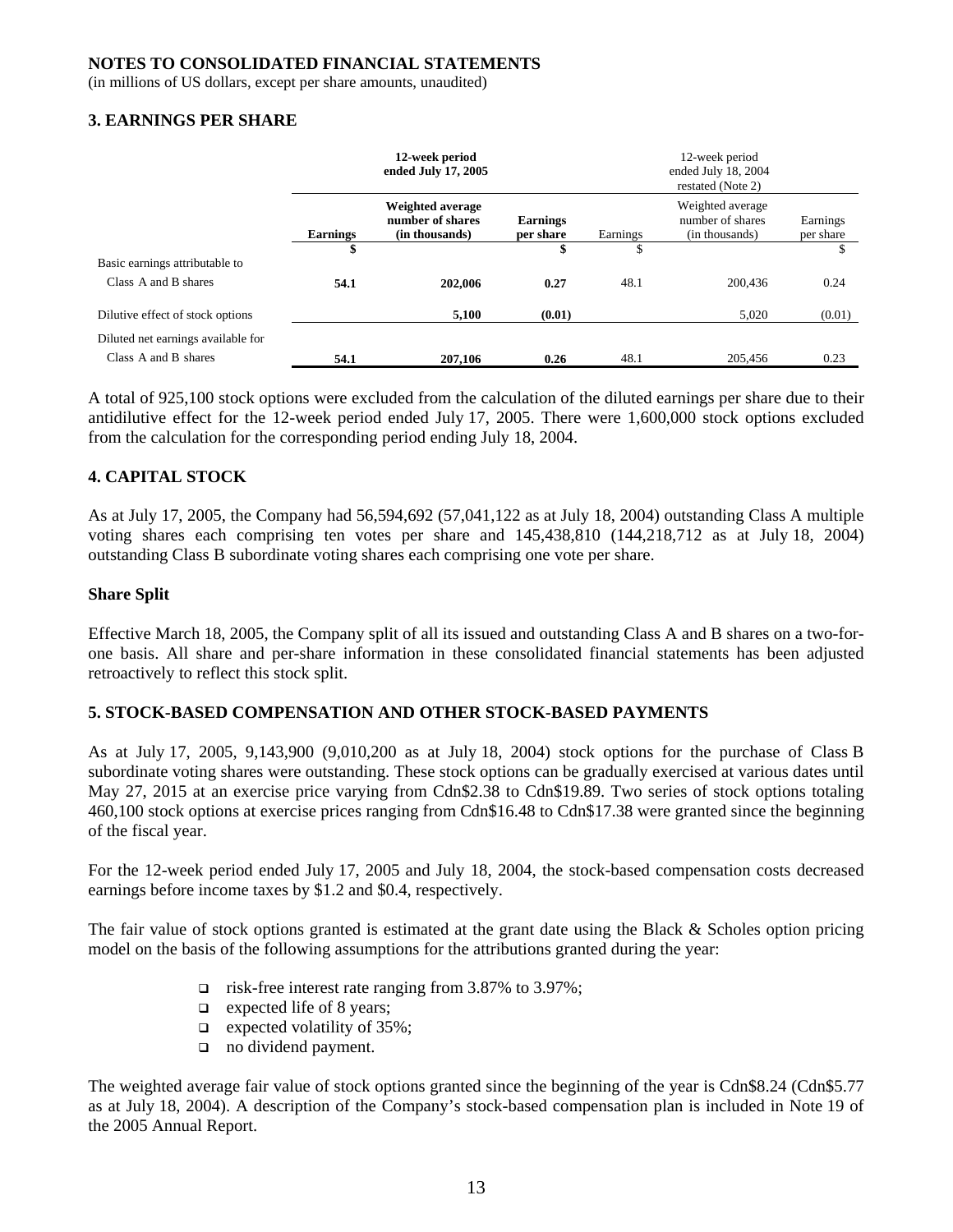#### **NOTES TO CONSOLIDATED FINANCIAL STATEMENTS**

(in millions of US dollars, except per share amounts, unaudited)

#### **3. EARNINGS PER SHARE**

|                                    | 12-week period<br>ended July 17, 2005 |                                                        |                                    | 12-week period<br>ended July 18, 2004<br>restated (Note 2) |                                                        |                             |  |
|------------------------------------|---------------------------------------|--------------------------------------------------------|------------------------------------|------------------------------------------------------------|--------------------------------------------------------|-----------------------------|--|
|                                    | <b>Earnings</b>                       | Weighted average<br>number of shares<br>(in thousands) | <b>Earnings</b><br>per share<br>\$ | Earnings<br>Φ                                              | Weighted average<br>number of shares<br>(in thousands) | Earnings<br>per share<br>\$ |  |
| Basic earnings attributable to     |                                       |                                                        |                                    | D                                                          |                                                        |                             |  |
| Class A and B shares               | 54.1                                  | 202,006                                                | 0.27                               | 48.1                                                       | 200,436                                                | 0.24                        |  |
| Dilutive effect of stock options   |                                       | 5.100                                                  | (0.01)                             |                                                            | 5,020                                                  | (0.01)                      |  |
| Diluted net earnings available for |                                       |                                                        |                                    |                                                            |                                                        |                             |  |
| Class A and B shares               | 54.1                                  | 207,106                                                | 0.26                               | 48.1                                                       | 205,456                                                | 0.23                        |  |

A total of 925,100 stock options were excluded from the calculation of the diluted earnings per share due to their antidilutive effect for the 12-week period ended July 17, 2005. There were 1,600,000 stock options excluded from the calculation for the corresponding period ending July 18, 2004.

#### **4. CAPITAL STOCK**

As at July 17, 2005, the Company had 56,594,692 (57,041,122 as at July 18, 2004) outstanding Class A multiple voting shares each comprising ten votes per share and 145,438,810 (144,218,712 as at July 18, 2004) outstanding Class B subordinate voting shares each comprising one vote per share.

#### **Share Split**

Effective March 18, 2005, the Company split of all its issued and outstanding Class A and B shares on a two-forone basis. All share and per-share information in these consolidated financial statements has been adjusted retroactively to reflect this stock split.

#### **5. STOCK-BASED COMPENSATION AND OTHER STOCK-BASED PAYMENTS**

As at July 17, 2005, 9,143,900 (9,010,200 as at July 18, 2004) stock options for the purchase of Class B subordinate voting shares were outstanding. These stock options can be gradually exercised at various dates until May 27, 2015 at an exercise price varying from Cdn\$2.38 to Cdn\$19.89. Two series of stock options totaling 460,100 stock options at exercise prices ranging from Cdn\$16.48 to Cdn\$17.38 were granted since the beginning of the fiscal year.

For the 12-week period ended July 17, 2005 and July 18, 2004, the stock-based compensation costs decreased earnings before income taxes by \$1.2 and \$0.4, respectively.

The fair value of stock options granted is estimated at the grant date using the Black & Scholes option pricing model on the basis of the following assumptions for the attributions granted during the year:

- risk-free interest rate ranging from 3.87% to 3.97%;
- $\Box$  expected life of 8 years;
- $\Box$  expected volatility of 35%;
- no dividend payment.

The weighted average fair value of stock options granted since the beginning of the year is Cdn\$8.24 (Cdn\$5.77 as at July 18, 2004). A description of the Company's stock-based compensation plan is included in Note 19 of the 2005 Annual Report.